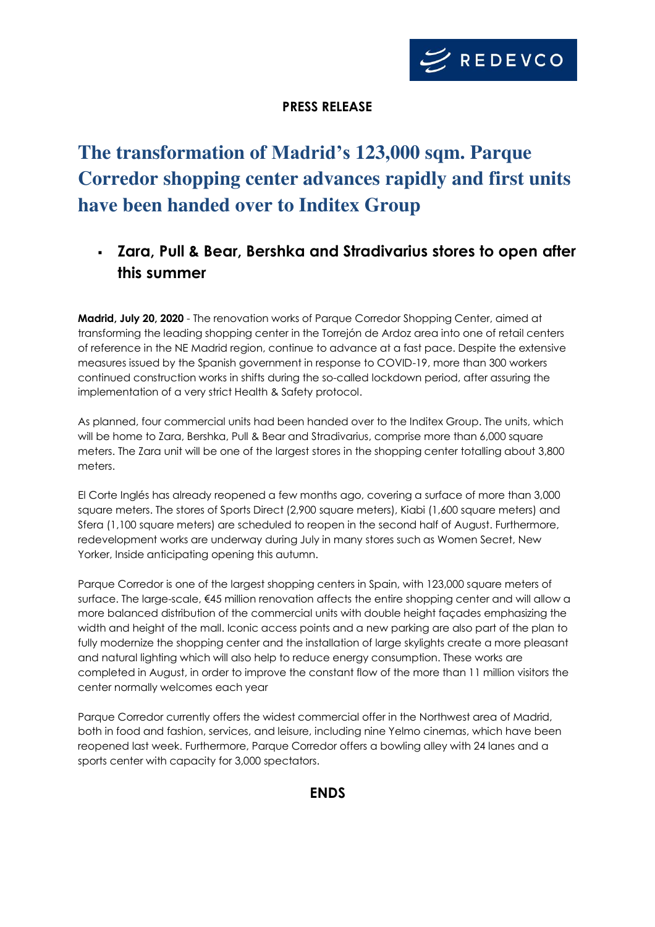

## **PRESS RELEASE**

# **The transformation of Madrid's 123,000 sqm. Parque Corredor shopping center advances rapidly and first units have been handed over to Inditex Group**

## ▪ **Zara, Pull & Bear, Bershka and Stradivarius stores to open after this summer**

**Madrid, July 20, 2020** - The renovation works of Parque Corredor Shopping Center, aimed at transforming the leading shopping center in the Torrejón de Ardoz area into one of retail centers of reference in the NE Madrid region, continue to advance at a fast pace. Despite the extensive measures issued by the Spanish government in response to COVID-19, more than 300 workers continued construction works in shifts during the so-called lockdown period, after assuring the implementation of a very strict Health & Safety protocol.

As planned, four commercial units had been handed over to the Inditex Group. The units, which will be home to Zara, Bershka, Pull & Bear and Stradivarius, comprise more than 6,000 square meters. The Zara unit will be one of the largest stores in the shopping center totalling about 3,800 meters.

El Corte Inglés has already reopened a few months ago, covering a surface of more than 3,000 square meters. The stores of Sports Direct (2,900 square meters), Kiabi (1,600 square meters) and Sfera (1,100 square meters) are scheduled to reopen in the second half of August. Furthermore, redevelopment works are underway during July in many stores such as Women Secret, New Yorker, Inside anticipating opening this autumn.

Parque Corredor is one of the largest shopping centers in Spain, with 123,000 square meters of surface. The large-scale, €45 million renovation affects the entire shopping center and will allow a more balanced distribution of the commercial units with double height façades emphasizing the width and height of the mall. Iconic access points and a new parking are also part of the plan to fully modernize the shopping center and the installation of large skylights create a more pleasant and natural lighting which will also help to reduce energy consumption. These works are completed in August, in order to improve the constant flow of the more than 11 million visitors the center normally welcomes each year

Parque Corredor currently offers the widest commercial offer in the Northwest area of Madrid, both in food and fashion, services, and leisure, including nine Yelmo cinemas, which have been reopened last week. Furthermore, Parque Corredor offers a bowling alley with 24 lanes and a sports center with capacity for 3,000 spectators.

**ENDS**